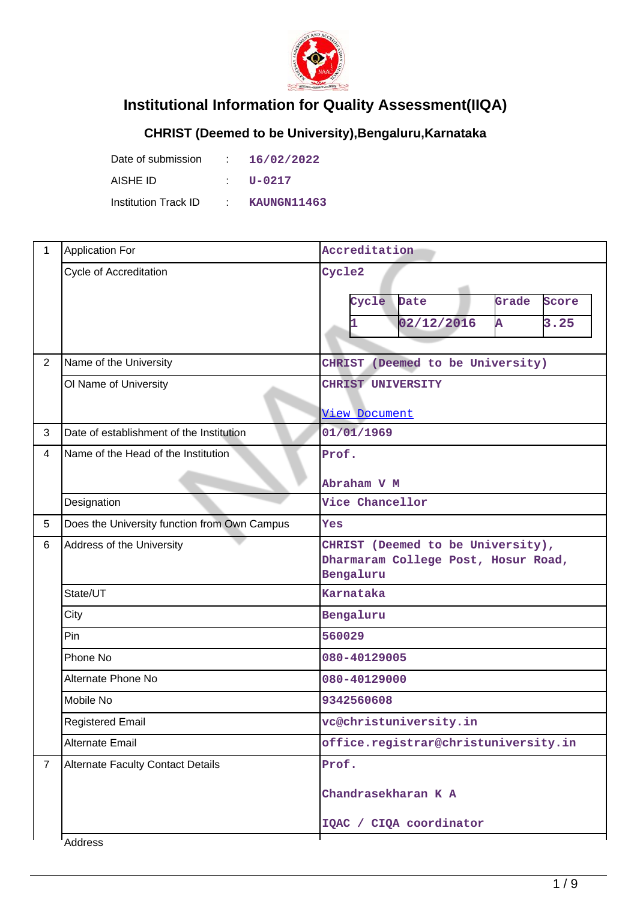

## **Institutional Information for Quality Assessment(IIQA)**

## **CHRIST (Deemed to be University),Bengaluru,Karnataka**

| Date of submission   |             | 16/02/2022  |
|----------------------|-------------|-------------|
| AISHE ID             |             | U-0217      |
| Institution Track ID | $\sim 1000$ | KAUNGN11463 |

| $\mathbf{1}$   | <b>Application For</b>                       | Accreditation                                                                         |  |  |  |
|----------------|----------------------------------------------|---------------------------------------------------------------------------------------|--|--|--|
|                | <b>Cycle of Accreditation</b>                | Cycle2<br>Grade<br>Cycle<br>Date<br>Score<br>3.25<br>02/12/2016<br>Ā                  |  |  |  |
| 2              | Name of the University                       | CHRIST (Deemed to be University)                                                      |  |  |  |
|                | Ol Name of University                        | <b>CHRIST UNIVERSITY</b><br>View Document                                             |  |  |  |
| 3              | Date of establishment of the Institution     | 01/01/1969                                                                            |  |  |  |
| 4              | Name of the Head of the Institution          | Prof.<br>Abraham V M                                                                  |  |  |  |
|                | Designation                                  | Vice Chancellor                                                                       |  |  |  |
| 5              | Does the University function from Own Campus | Yes                                                                                   |  |  |  |
| 6              | Address of the University                    | CHRIST (Deemed to be University),<br>Dharmaram College Post, Hosur Road,<br>Bengaluru |  |  |  |
|                | State/UT                                     | Karnataka                                                                             |  |  |  |
|                | City                                         | Bengaluru                                                                             |  |  |  |
|                | Pin                                          | 560029                                                                                |  |  |  |
|                | Phone No                                     | 080-40129005                                                                          |  |  |  |
|                | Alternate Phone No                           | 080-40129000                                                                          |  |  |  |
|                | Mobile No                                    | 9342560608                                                                            |  |  |  |
|                | <b>Registered Email</b>                      | vc@christuniversity.in                                                                |  |  |  |
|                | Alternate Email                              | office.registrar@christuniversity.in                                                  |  |  |  |
| $\overline{7}$ | <b>Alternate Faculty Contact Details</b>     | Prof.<br>Chandrasekharan K A<br>IQAC / CIQA coordinator                               |  |  |  |
|                | Address                                      |                                                                                       |  |  |  |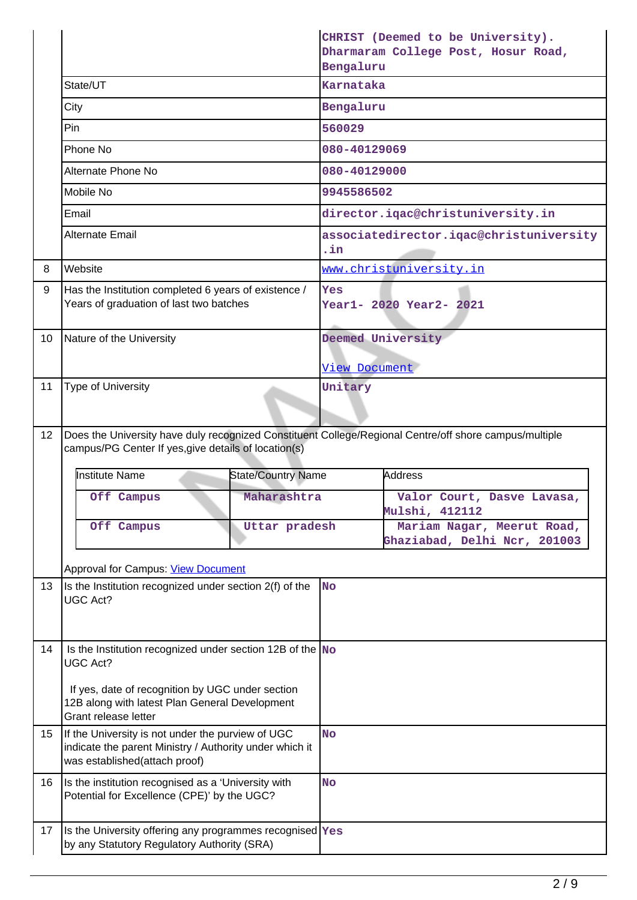|                 |                                                                                                                                               |                    | CHRIST (Deemed to be University).<br>Dharmaram College Post, Hosur Road,<br>Bengaluru |                                                                                                        |
|-----------------|-----------------------------------------------------------------------------------------------------------------------------------------------|--------------------|---------------------------------------------------------------------------------------|--------------------------------------------------------------------------------------------------------|
|                 | State/UT                                                                                                                                      |                    | <b>Karnataka</b>                                                                      |                                                                                                        |
|                 | City                                                                                                                                          |                    | Bengaluru                                                                             |                                                                                                        |
|                 | Pin                                                                                                                                           |                    | 560029                                                                                |                                                                                                        |
|                 | Phone No                                                                                                                                      |                    | 080-40129069                                                                          |                                                                                                        |
|                 | Alternate Phone No                                                                                                                            |                    | 080-40129000                                                                          |                                                                                                        |
|                 | Mobile No                                                                                                                                     |                    | 9945586502                                                                            |                                                                                                        |
|                 | Email                                                                                                                                         |                    |                                                                                       | director.iqac@christuniversity.in                                                                      |
|                 | <b>Alternate Email</b>                                                                                                                        |                    | .in                                                                                   | associatedirector.iqac@christuniversity                                                                |
| 8               | Website                                                                                                                                       |                    |                                                                                       | www.christuniversity.in                                                                                |
| 9               | Has the Institution completed 6 years of existence /<br>Years of graduation of last two batches                                               |                    | Yes                                                                                   | Year1- 2020 Year2- 2021                                                                                |
| 10              | Nature of the University                                                                                                                      |                    |                                                                                       | Deemed University                                                                                      |
|                 |                                                                                                                                               |                    | View Document                                                                         |                                                                                                        |
| 11              | <b>Type of University</b>                                                                                                                     |                    | Unitary                                                                               |                                                                                                        |
| 12 <sup>°</sup> | campus/PG Center If yes, give details of location(s)                                                                                          |                    |                                                                                       | Does the University have duly recognized Constituent College/Regional Centre/off shore campus/multiple |
|                 | <b>Institute Name</b>                                                                                                                         | State/Country Name |                                                                                       | <b>Address</b>                                                                                         |
|                 | Off Campus                                                                                                                                    | Maharashtra        |                                                                                       | Valor Court, Dasve Lavasa,<br>Mulshi, 412112                                                           |
|                 | Off Campus                                                                                                                                    | Uttar pradesh      | Mariam Nagar, Meerut Road,<br>Ghaziabad, Delhi Ncr, 201003                            |                                                                                                        |
|                 | Approval for Campus: View Document                                                                                                            |                    |                                                                                       |                                                                                                        |
| 13              | Is the Institution recognized under section 2(f) of the<br>UGC Act?                                                                           |                    | <b>No</b>                                                                             |                                                                                                        |
| 14              | Is the Institution recognized under section 12B of the $N$ o<br><b>UGC Act?</b><br>If yes, date of recognition by UGC under section           |                    |                                                                                       |                                                                                                        |
|                 | 12B along with latest Plan General Development<br>Grant release letter                                                                        |                    |                                                                                       |                                                                                                        |
| 15              | If the University is not under the purview of UGC<br>indicate the parent Ministry / Authority under which it<br>was established(attach proof) |                    |                                                                                       |                                                                                                        |
| 16              | Is the institution recognised as a 'University with<br>Potential for Excellence (CPE)' by the UGC?                                            |                    | <b>No</b>                                                                             |                                                                                                        |
| 17              | Is the University offering any programmes recognised Yes<br>by any Statutory Regulatory Authority (SRA)                                       |                    |                                                                                       |                                                                                                        |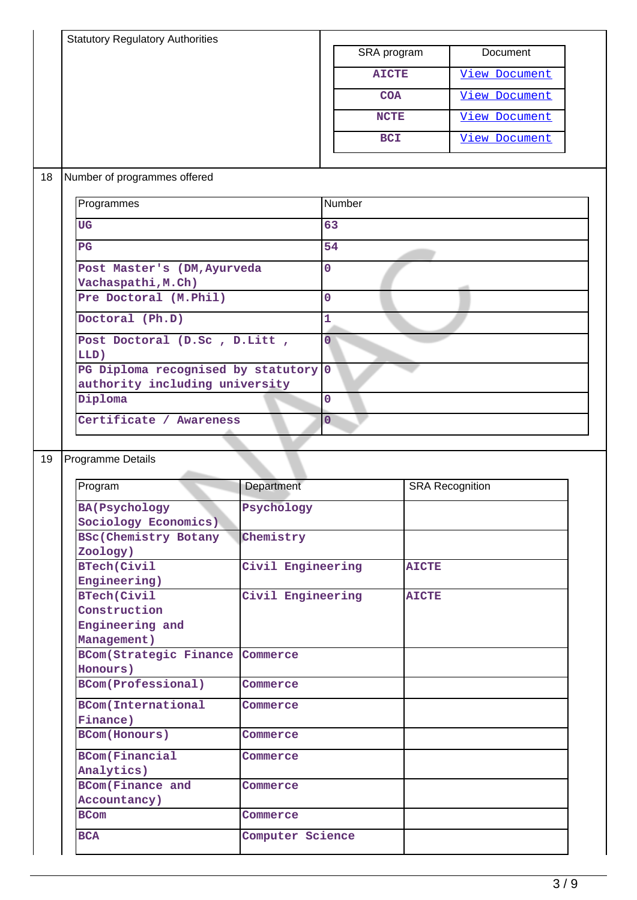| <b>Statutory Regulatory Authorities</b> |                              | SRA program    |              | Document               |
|-----------------------------------------|------------------------------|----------------|--------------|------------------------|
|                                         |                              | <b>AICTE</b>   |              | <b>View Document</b>   |
|                                         |                              | <b>COA</b>     |              | <b>View Document</b>   |
|                                         |                              |                |              |                        |
|                                         |                              | <b>NCTE</b>    |              | <b>View Document</b>   |
|                                         |                              | <b>BCI</b>     |              | <b>View Document</b>   |
| Number of programmes offered            |                              |                |              |                        |
| Programmes                              |                              | Number         |              |                        |
|                                         |                              |                |              |                        |
| <b>UG</b>                               |                              | 63             |              |                        |
| PG                                      |                              | 54             |              |                        |
| Post Master's (DM, Ayurveda             |                              | $\mathbf 0$    |              |                        |
| Vachaspathi, M.Ch)                      |                              |                |              |                        |
| Pre Doctoral (M.Phil)                   |                              | $\mathbf 0$    |              |                        |
| Doctoral (Ph.D)                         |                              | 1              |              |                        |
| Post Doctoral (D.Sc, D.Litt,            |                              | $\overline{0}$ |              |                        |
| LLD)                                    |                              |                |              |                        |
| PG Diploma recognised by statutory 0    |                              |                |              |                        |
| authority including university          |                              |                |              |                        |
| Diploma                                 |                              | $\mathbf 0$    |              |                        |
|                                         |                              |                |              |                        |
|                                         |                              |                |              |                        |
| Certificate / Awareness                 |                              | $\overline{O}$ |              |                        |
|                                         |                              |                |              |                        |
| Programme Details                       |                              |                |              |                        |
| Program                                 | Department                   |                |              | <b>SRA Recognition</b> |
|                                         |                              |                |              |                        |
| <b>BA(Psychology</b>                    | Psychology                   |                |              |                        |
| Sociology Economics)                    | Chemistry                    |                |              |                        |
| <b>BSc(Chemistry Botany</b>             |                              |                |              |                        |
| Zoology)<br><b>BTech(Civil</b>          | Civil Engineering            |                | <b>AICTE</b> |                        |
| Engineering)                            |                              |                |              |                        |
| <b>BTech(Civil</b>                      | Civil Engineering            |                | <b>AICTE</b> |                        |
| Construction                            |                              |                |              |                        |
| Engineering and                         |                              |                |              |                        |
| Management)                             |                              |                |              |                        |
| <b>BCom(Strategic Finance</b>           | Commerce                     |                |              |                        |
| Honours)                                |                              |                |              |                        |
| <b>BCom(Professional)</b>               | Commerce                     |                |              |                        |
|                                         |                              |                |              |                        |
| <b>BCom(International</b>               | Commerce                     |                |              |                        |
| Finance)<br><b>BCom(Honours)</b>        | Commerce                     |                |              |                        |
|                                         |                              |                |              |                        |
| <b>BCom(Financial</b>                   | Commerce                     |                |              |                        |
| Analytics)                              |                              |                |              |                        |
| <b>BCom(Finance and</b>                 | Commerce                     |                |              |                        |
| Accountancy)                            |                              |                |              |                        |
| <b>BCom</b><br><b>BCA</b>               | Commerce<br>Computer Science |                |              |                        |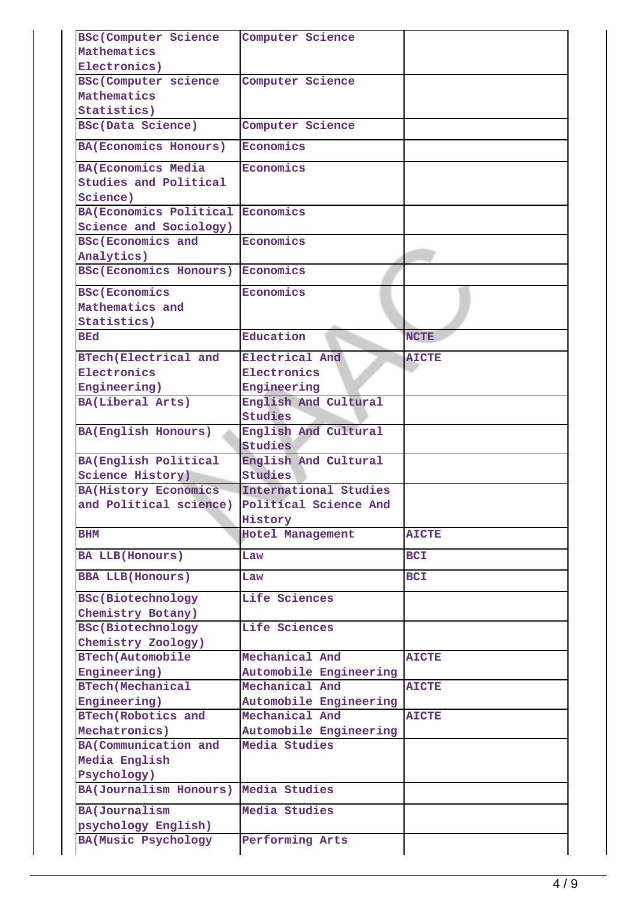| <b>BSc(Computer Science</b>             | Computer Science        |              |
|-----------------------------------------|-------------------------|--------------|
| Mathematics                             |                         |              |
| Electronics)                            |                         |              |
| <b>BSc(Computer science</b>             | Computer Science        |              |
| Mathematics                             |                         |              |
| Statistics)                             |                         |              |
| <b>BSc(Data Science)</b>                | Computer Science        |              |
| BA (Economics Honours)                  | Economics               |              |
| <b>BA(Economics Media</b>               | Economics               |              |
| Studies and Political                   |                         |              |
| Science)                                |                         |              |
| <b>BA(Economics Political Economics</b> |                         |              |
| Science and Sociology)                  |                         |              |
| <b>BSc(Economics and</b>                | Economics               |              |
| Analytics)                              |                         |              |
| <b>BSc (Economics Honours)</b>          | Economics               |              |
| <b>BSc(Economics</b>                    | Economics               |              |
| Mathematics and                         |                         |              |
| Statistics)                             |                         |              |
| BEd                                     | Education               | <b>NCTE</b>  |
| <b>BTech(Electrical and</b>             | Electrical And          | <b>AICTE</b> |
| Electronics                             | Electronics             |              |
| Engineering)                            | Engineering             |              |
| BA(Liberal Arts)                        | English And Cultural    |              |
|                                         | Studies                 |              |
| <b>BA(English Honours)</b>              | English And Cultural    |              |
|                                         | <b>Studies</b>          |              |
| BA(English Political                    | English And Cultural    |              |
| Science History)                        | <b>Studies</b>          |              |
| <b>BA(History Economics</b>             | International Studies   |              |
| and Political science)                  | Political Science And   |              |
|                                         | History                 |              |
| BHM                                     | <b>Hotel Management</b> | <b>AICTE</b> |
| <b>BA LLB(Honours)</b>                  | Law                     | <b>BCI</b>   |
| <b>BBA LLB(Honours)</b>                 | Law                     | <b>BCI</b>   |
| <b>BSc(Biotechnology</b>                | Life Sciences           |              |
| Chemistry Botany)                       |                         |              |
| <b>BSc(Biotechnology</b>                | Life Sciences           |              |
| Chemistry Zoology)                      |                         |              |
| <b>BTech(Automobile</b>                 | Mechanical And          | <b>AICTE</b> |
| Engineering)                            | Automobile Engineering  |              |
| <b>BTech(Mechanical</b>                 | Mechanical And          | <b>AICTE</b> |
| Engineering)                            | Automobile Engineering  |              |
| <b>BTech(Robotics and</b>               | Mechanical And          | <b>AICTE</b> |
| Mechatronics)                           | Automobile Engineering  |              |
| BA(Communication and                    | Media Studies           |              |
| Media English                           |                         |              |
| Psychology)                             |                         |              |
| BA(Journalism Honours)                  | Media Studies           |              |
| <b>BA(Journalism</b>                    | Media Studies           |              |
| psychology English)                     |                         |              |
| <b>BA(Music Psychology</b>              | Performing Arts         |              |
|                                         |                         |              |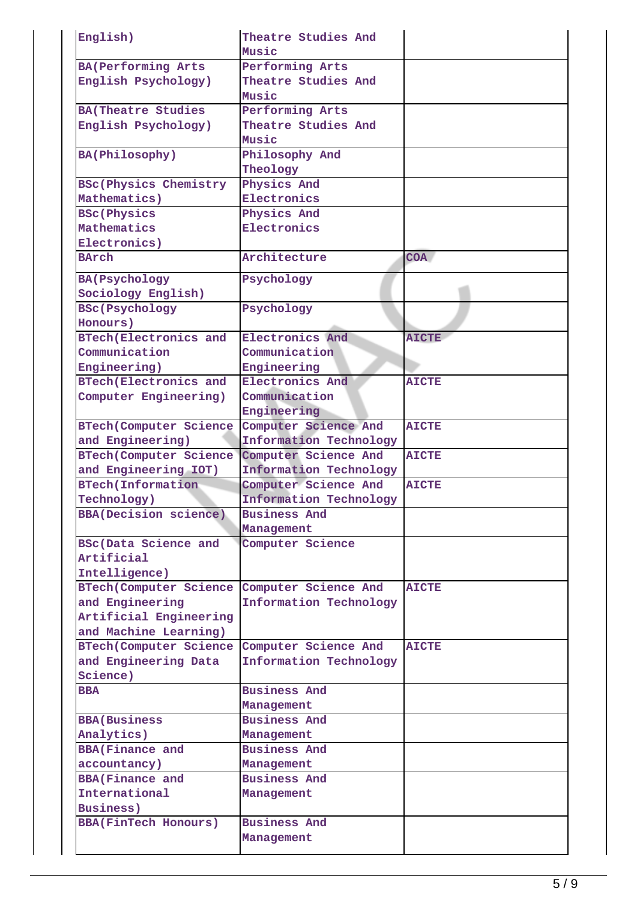| English)                      | Theatre Studies And    |              |
|-------------------------------|------------------------|--------------|
|                               | Music                  |              |
| <b>BA(Performing Arts</b>     | Performing Arts        |              |
| English Psychology)           | Theatre Studies And    |              |
|                               | Music                  |              |
| <b>BA(Theatre Studies</b>     | Performing Arts        |              |
| English Psychology)           | Theatre Studies And    |              |
|                               | Music                  |              |
| BA(Philosophy)                | Philosophy And         |              |
|                               | Theology               |              |
| <b>BSc(Physics Chemistry</b>  | Physics And            |              |
| Mathematics)                  | Electronics            |              |
| <b>BSc(Physics</b>            | Physics And            |              |
| Mathematics                   | Electronics            |              |
| Electronics)                  |                        |              |
| <b>BArch</b>                  | Architecture           | <b>COA</b>   |
|                               |                        |              |
| <b>BA(Psychology</b>          | Psychology             |              |
| Sociology English)            |                        |              |
| <b>BSc(Psychology</b>         | Psychology             |              |
| Honours)                      |                        |              |
| <b>BTech(Electronics and</b>  | Electronics And        | <b>AICTE</b> |
| Communication                 | Communication          |              |
| Engineering)                  | Engineering            |              |
| <b>BTech(Electronics and</b>  | Electronics And        | <b>AICTE</b> |
| Computer Engineering)         | Communication          |              |
|                               | Engineering            |              |
| <b>BTech(Computer Science</b> | Computer Science And   | <b>AICTE</b> |
|                               |                        |              |
| and Engineering)              | Information Technology |              |
| <b>BTech(Computer Science</b> | Computer Science And   | <b>AICTE</b> |
| and Engineering IOT)          | Information Technology |              |
| <b>BTech(Information</b>      | Computer Science And   | <b>AICTE</b> |
| Technology)                   | Information Technology |              |
| <b>BBA(Decision science)</b>  | <b>Business And</b>    |              |
|                               | Management             |              |
| BSc(Data Science and          | Computer Science       |              |
| Artificial                    |                        |              |
| Intelligence)                 |                        |              |
| <b>BTech(Computer Science</b> | Computer Science And   | <b>AICTE</b> |
| and Engineering               | Information Technology |              |
| Artificial Engineering        |                        |              |
| and Machine Learning)         |                        |              |
| <b>BTech(Computer Science</b> | Computer Science And   | <b>AICTE</b> |
| and Engineering Data          | Information Technology |              |
| Science)                      |                        |              |
| <b>BBA</b>                    | <b>Business And</b>    |              |
|                               | Management             |              |
| <b>BBA</b> (Business          | <b>Business And</b>    |              |
| Analytics)                    | Management             |              |
| <b>BBA(Finance and</b>        | <b>Business And</b>    |              |
| accountancy)                  | Management             |              |
| <b>BBA(Finance and</b>        | <b>Business And</b>    |              |
| International                 |                        |              |
|                               | Management             |              |
| <b>Business)</b>              |                        |              |
| <b>BBA(FinTech Honours)</b>   | <b>Business And</b>    |              |
|                               | Management             |              |
|                               |                        |              |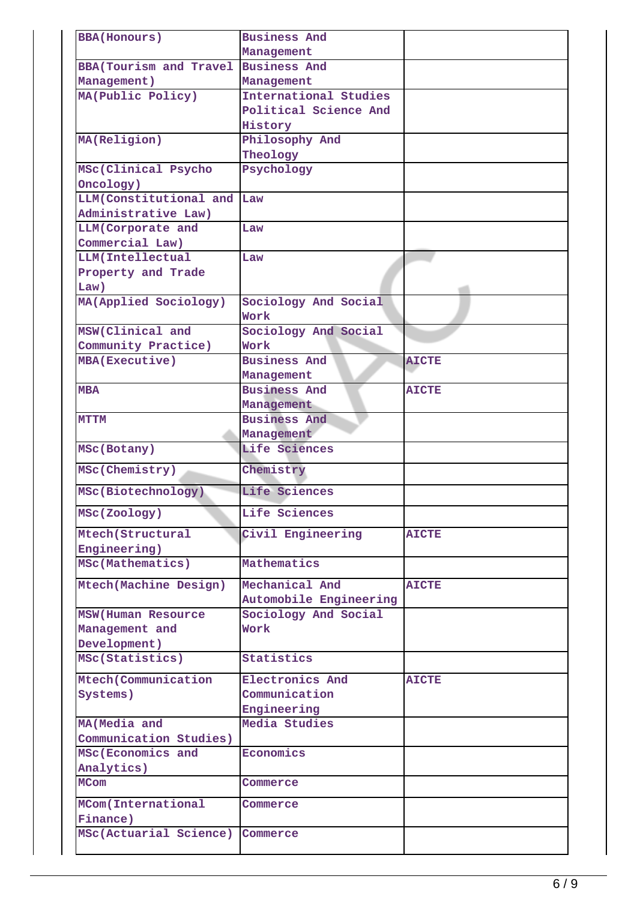| <b>BBA(Honours)</b>            | <b>Business And</b>    |              |
|--------------------------------|------------------------|--------------|
|                                | Management             |              |
| <b>BBA</b> (Tourism and Travel | <b>Business And</b>    |              |
| Management)                    | Management             |              |
| MA(Public Policy)              | International Studies  |              |
|                                | Political Science And  |              |
|                                | History                |              |
| MA(Religion)                   | Philosophy And         |              |
|                                | Theology               |              |
| MSc(Clinical Psycho            | Psychology             |              |
| Oncology)                      |                        |              |
| LLM(Constitutional and         | Law                    |              |
| Administrative Law)            |                        |              |
| LLM(Corporate and              | Law                    |              |
| Commercial Law)                |                        |              |
| LLM(Intellectual               | Law                    |              |
| Property and Trade             |                        |              |
| Law)                           |                        |              |
| MA(Applied Sociology)          | Sociology And Social   |              |
|                                | Work                   |              |
| MSW(Clinical and               | Sociology And Social   |              |
| Community Practice)            | Work                   |              |
| <b>MBA(Executive)</b>          | <b>Business And</b>    | <b>AICTE</b> |
|                                | Management             |              |
| <b>MBA</b>                     | <b>Business And</b>    | <b>AICTE</b> |
|                                | Management             |              |
| <b>MTTM</b>                    | <b>Business And</b>    |              |
|                                | Management             |              |
| MSc(Botany)                    | Life Sciences          |              |
| MSc(Chemistry)                 | Chemistry              |              |
| MSc(Biotechnology)             | Life Sciences          |              |
| MSc(Zoology)                   | Life Sciences          |              |
| Mtech (Structural              | Civil Engineering      | <b>AICTE</b> |
| Engineering)                   |                        |              |
| MSc(Mathematics)               | Mathematics            |              |
| Mtech (Machine Design)         | Mechanical And         | <b>AICTE</b> |
|                                | Automobile Engineering |              |
| <b>MSW(Human Resource</b>      | Sociology And Social   |              |
| Management and                 | Work                   |              |
| Development)                   |                        |              |
| MSc(Statistics)                | Statistics             |              |
| Mtech (Communication           | Electronics And        | <b>AICTE</b> |
| Systems)                       | Communication          |              |
|                                | Engineering            |              |
| MA (Media and                  | Media Studies          |              |
| Communication Studies)         |                        |              |
| MSc (Economics and             | Economics              |              |
| Analytics)                     |                        |              |
| <b>MCom</b>                    | Commerce               |              |
| MCom(International             | Commerce               |              |
| Finance)                       |                        |              |
| MSc(Actuarial Science)         | Commerce               |              |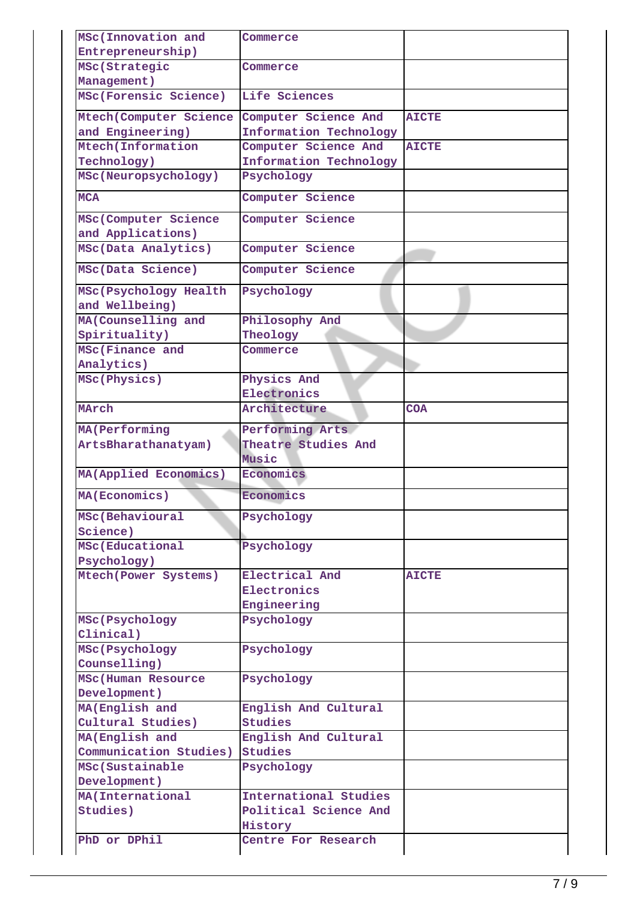| MSc(Innovation and        | Commerce               |              |
|---------------------------|------------------------|--------------|
| Entrepreneurship)         |                        |              |
| MSc(Strategic             | Commerce               |              |
| Management)               |                        |              |
| MSc(Forensic Science)     | Life Sciences          |              |
| Mtech (Computer Science   | Computer Science And   | <b>AICTE</b> |
| and Engineering)          | Information Technology |              |
| Mtech (Information        | Computer Science And   | <b>AICTE</b> |
| Technology)               | Information Technology |              |
| MSc(Neuropsychology)      | Psychology             |              |
| <b>MCA</b>                | Computer Science       |              |
| MSc(Computer Science      | Computer Science       |              |
| and Applications)         |                        |              |
| MSc(Data Analytics)       | Computer Science       |              |
| MSc(Data Science)         | Computer Science       |              |
| MSc(Psychology Health     | Psychology             |              |
| and Wellbeing)            |                        |              |
| MA (Counselling and       | Philosophy And         |              |
| Spirituality)             | Theology               |              |
| MSc(Finance and           | Commerce               |              |
| Analytics)                |                        |              |
| MSc(Physics)              | Physics And            |              |
|                           | Electronics            |              |
| MArch                     | Architecture           | <b>COA</b>   |
| <b>MA(Performing</b>      | Performing Arts        |              |
| ArtsBharathanatyam)       | Theatre Studies And    |              |
|                           | Music                  |              |
| MA(Applied Economics)     | Economics              |              |
| MA(Economics)             | Economics              |              |
| MSc(Behavioural           | Psychology             |              |
| Science)                  |                        |              |
| MSc(Educational           | Psychology             |              |
| Psychology)               |                        |              |
| Mtech (Power Systems)     | Electrical And         | <b>AICTE</b> |
|                           | Electronics            |              |
|                           | Engineering            |              |
| MSc(Psychology            | Psychology             |              |
| Clinical)                 |                        |              |
| MSc(Psychology            | Psychology             |              |
| Counselling)              |                        |              |
| <b>MSc(Human Resource</b> | Psychology             |              |
| Development)              |                        |              |
| MA (English and           | English And Cultural   |              |
| Cultural Studies)         | <b>Studies</b>         |              |
| MA (English and           | English And Cultural   |              |
| Communication Studies)    | Studies                |              |
| MSc(Sustainable           | Psychology             |              |
| Development)              |                        |              |
| MA (International         | International Studies  |              |
| Studies)                  | Political Science And  |              |
|                           | History                |              |
| PhD or DPhil              | Centre For Research    |              |
|                           |                        |              |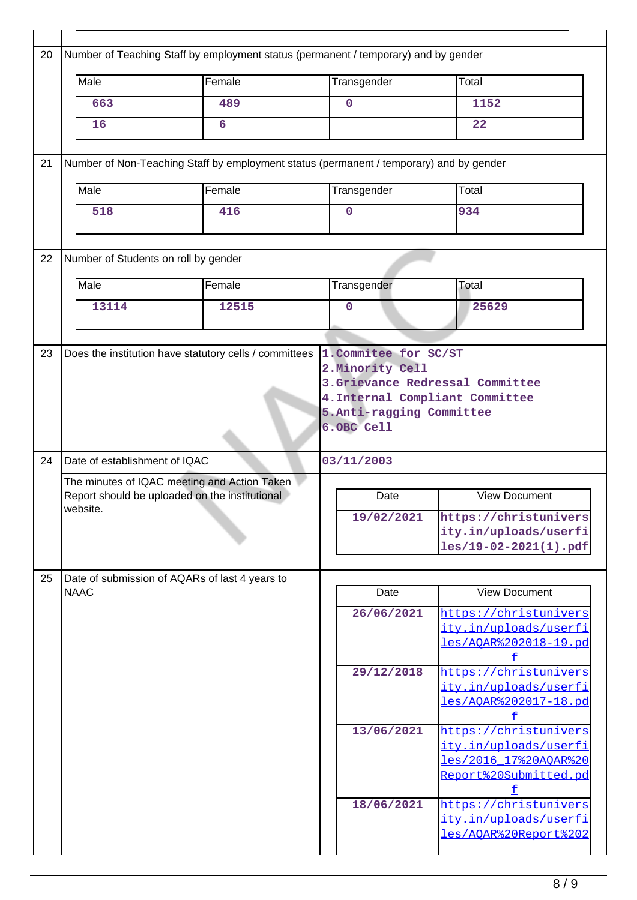| Male                          | Female                                                                                         | Transgender                                          | Total                                                                                                      |
|-------------------------------|------------------------------------------------------------------------------------------------|------------------------------------------------------|------------------------------------------------------------------------------------------------------------|
| 663                           | 489                                                                                            | $\mathbf 0$                                          | 1152                                                                                                       |
| 16                            | 6                                                                                              |                                                      | 22                                                                                                         |
|                               | Number of Non-Teaching Staff by employment status (permanent / temporary) and by gender        |                                                      |                                                                                                            |
| Male                          | Female                                                                                         | Transgender                                          | Total                                                                                                      |
| 518                           | 416                                                                                            | $\overline{0}$                                       | 934                                                                                                        |
|                               | Number of Students on roll by gender                                                           |                                                      |                                                                                                            |
| Male                          | Female                                                                                         | Transgender                                          | Total                                                                                                      |
| 13114                         | 12515                                                                                          | 0                                                    | 25629                                                                                                      |
| Date of establishment of IQAC |                                                                                                | 5.Anti-ragging Committee<br>6.OBC Cell<br>03/11/2003 | 4. Internal Compliant Committee                                                                            |
|                               | The minutes of IQAC meeting and Action Taken<br>Report should be uploaded on the institutional | Date                                                 |                                                                                                            |
|                               |                                                                                                |                                                      | <b>View Document</b>                                                                                       |
| website.                      |                                                                                                | 19/02/2021                                           |                                                                                                            |
|                               | Date of submission of AQARs of last 4 years to                                                 |                                                      | https://christunivers<br>ity.in/uploads/userfi<br>les/19-02-2021(1).pdf                                    |
| <b>NAAC</b>                   |                                                                                                | Date                                                 | <b>View Document</b>                                                                                       |
|                               |                                                                                                | 26/06/2021                                           | https://christunivers<br>ity.in/uploads/userfi<br>les/AOAR%202018-19.pd                                    |
|                               |                                                                                                | 29/12/2018                                           | https://christunivers<br>ity.in/uploads/userfi<br>les/AQAR%202017-18.pd                                    |
|                               |                                                                                                | 13/06/2021                                           | f<br>https://christunivers<br>ity.in/uploads/userfi<br>les/2016_17%20AOAR%20<br>Report%20Submitted.pd<br>f |